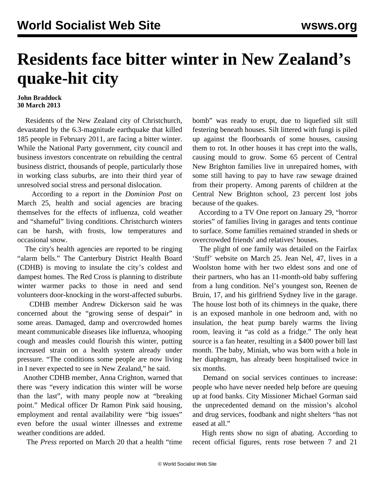## **Residents face bitter winter in New Zealand's quake-hit city**

## **John Braddock 30 March 2013**

 Residents of the New Zealand city of Christchurch, devastated by the 6.3-magnitude earthquake that killed 185 people in February 2011, are facing a bitter winter. While the National Party government, city council and business investors concentrate on rebuilding the central business district, thousands of people, particularly those in working class suburbs, are into their third year of unresolved social stress and personal dislocation.

 According to a report in the *Dominion Post* on March 25, health and social agencies are bracing themselves for the effects of influenza, cold weather and "shameful" living conditions. Christchurch winters can be harsh, with frosts, low temperatures and occasional snow.

 The city's health agencies are reported to be ringing "alarm bells." The Canterbury District Health Board (CDHB) is moving to insulate the city's coldest and dampest homes. The Red Cross is planning to distribute winter warmer packs to those in need and send volunteers door-knocking in the worst-affected suburbs.

 CDHB member Andrew Dickerson said he was concerned about the "growing sense of despair" in some areas. Damaged, damp and overcrowded homes meant communicable diseases like influenza, whooping cough and measles could flourish this winter, putting increased strain on a health system already under pressure. "The conditions some people are now living in I never expected to see in New Zealand," he said.

 Another CDHB member, Anna Crighton, warned that there was "every indication this winter will be worse than the last", with many people now at "breaking point." Medical officer Dr Ramon Pink said housing, employment and rental availability were "big issues" even before the usual winter illnesses and extreme weather conditions are added.

The *Press* reported on March 20 that a health "time

bomb" was ready to erupt, due to liquefied silt still festering beneath houses. Silt littered with fungi is piled up against the floorboards of some houses, causing them to rot. In other houses it has crept into the walls, causing mould to grow. Some 65 percent of Central New Brighton families live in unrepaired homes, with some still having to pay to have raw sewage drained from their property. Among parents of children at the Central New Brighton school, 23 percent lost jobs because of the quakes.

 According to a TV One report on January 29, "horror stories" of families living in garages and tents continue to surface. Some families remained stranded in sheds or overcrowded friends' and relatives' houses.

 The plight of one family was detailed on the Fairfax 'Stuff' website on March 25. Jean Nel, 47, lives in a Woolston home with her two eldest sons and one of their partners, who has an 11-month-old baby suffering from a lung condition. Nel's youngest son, Reenen de Bruin, 17, and his girlfriend Sydney live in the garage. The house lost both of its chimneys in the quake, there is an exposed manhole in one bedroom and, with no insulation, the heat pump barely warms the living room, leaving it "as cold as a fridge." The only heat source is a fan heater, resulting in a \$400 power bill last month. The baby, Miniah, who was born with a hole in her diaphragm, has already been hospitalised twice in six months.

 Demand on social services continues to increase: people who have never needed help before are queuing up at food banks. City Missioner Michael Gorman said the unprecedented demand on the mission's alcohol and drug services, foodbank and night shelters "has not eased at all."

 High rents show no sign of abating. According to recent official figures, rents rose between 7 and 21